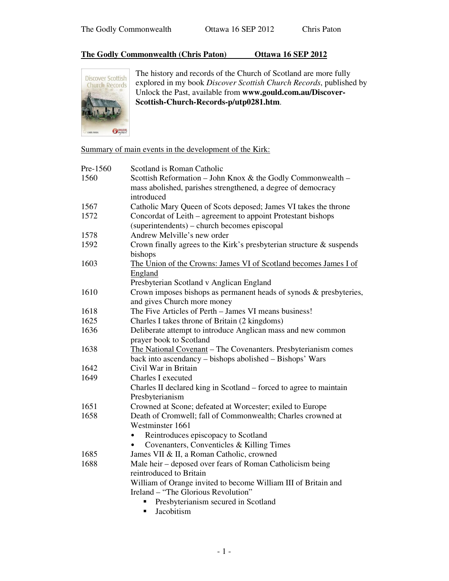## **The Godly Commonwealth (Chris Paton) Ottawa 16 SEP 2012**



The history and records of the Church of Scotland are more fully explored in my book *Discover Scottish Church Records*, published by Unlock the Past, available from **www.gould.com.au/Discover-Scottish-Church-Records-p/utp0281.htm**.

Summary of main events in the development of the Kirk:

| Pre-1560 | Scotland is Roman Catholic                                                                                                  |
|----------|-----------------------------------------------------------------------------------------------------------------------------|
| 1560     | Scottish Reformation - John Knox & the Godly Commonwealth -<br>mass abolished, parishes strengthened, a degree of democracy |
|          | introduced                                                                                                                  |
| 1567     | Catholic Mary Queen of Scots deposed; James VI takes the throne                                                             |
| 1572     | Concordat of Leith – agreement to appoint Protestant bishops<br>(superintendents) – church becomes episcopal                |
| 1578     | Andrew Melville's new order                                                                                                 |
| 1592     | Crown finally agrees to the Kirk's presbyterian structure & suspends                                                        |
|          | bishops                                                                                                                     |
| 1603     | The Union of the Crowns: James VI of Scotland becomes James I of                                                            |
|          | England                                                                                                                     |
|          | Presbyterian Scotland v Anglican England                                                                                    |
| 1610     | Crown imposes bishops as permanent heads of synods & presbyteries,<br>and gives Church more money                           |
| 1618     | The Five Articles of Perth – James VI means business!                                                                       |
| 1625     |                                                                                                                             |
|          | Charles I takes throne of Britain (2 kingdoms)                                                                              |
| 1636     | Deliberate attempt to introduce Anglican mass and new common<br>prayer book to Scotland                                     |
| 1638     | The National Covenant - The Covenanters. Presbyterianism comes                                                              |
|          | back into ascendancy - bishops abolished - Bishops' Wars                                                                    |
| 1642     | Civil War in Britain                                                                                                        |
| 1649     | <b>Charles I executed</b>                                                                                                   |
|          | Charles II declared king in Scotland – forced to agree to maintain                                                          |
|          | Presbyterianism                                                                                                             |
| 1651     | Crowned at Scone; defeated at Worcester; exiled to Europe                                                                   |
| 1658     | Death of Cromwell; fall of Commonwealth; Charles crowned at                                                                 |
|          | Westminster 1661                                                                                                            |
|          | Reintroduces episcopacy to Scotland<br>$\bullet$                                                                            |
|          | Covenanters, Conventicles & Killing Times                                                                                   |
| 1685     | James VII & II, a Roman Catholic, crowned                                                                                   |
| 1688     | Male heir – deposed over fears of Roman Catholicism being                                                                   |
|          | reintroduced to Britain                                                                                                     |
|          | William of Orange invited to become William III of Britain and                                                              |
|          | Ireland – "The Glorious Revolution"                                                                                         |
|          | Presbyterianism secured in Scotland                                                                                         |
|          | Jacobitism<br>٠                                                                                                             |
|          |                                                                                                                             |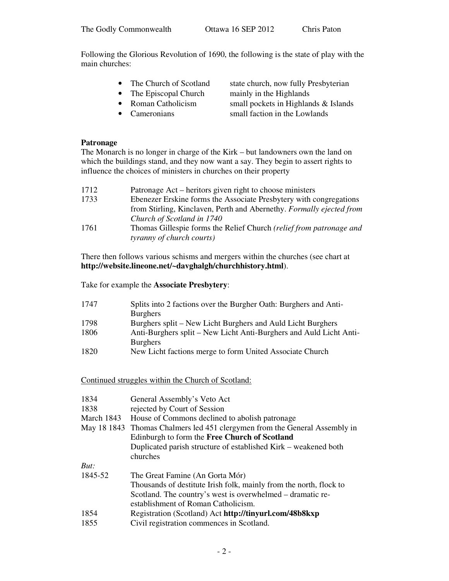Following the Glorious Revolution of 1690, the following is the state of play with the main churches:

- 
- The Episcopal Church mainly in the Highlands
- 
- 
- The Church of Scotland state church, now fully Presbyterian
- Roman Catholicism small pockets in Highlands & Islands
- Cameronians small faction in the Lowlands

## **Patronage**

The Monarch is no longer in charge of the Kirk – but landowners own the land on which the buildings stand, and they now want a say. They begin to assert rights to influence the choices of ministers in churches on their property

| 1712 | Patronage Act – heritors given right to choose ministers             |
|------|----------------------------------------------------------------------|
| 1733 | Ebenezer Erskine forms the Associate Presbytery with congregations   |
|      | from Stirling, Kinclaven, Perth and Abernethy. Formally ejected from |
|      | Church of Scotland in 1740                                           |
| 1761 | Thomas Gillespie forms the Relief Church (relief from patronage and  |
|      | tyranny of church courts)                                            |

There then follows various schisms and mergers within the churches (see chart at **http://website.lineone.net/~davghalgh/churchhistory.html**).

Take for example the **Associate Presbytery**:

| 1747 | Splits into 2 factions over the Burgher Oath: Burghers and Anti-   |
|------|--------------------------------------------------------------------|
|      | <b>Burghers</b>                                                    |
| 1798 | Burghers split – New Licht Burghers and Auld Licht Burghers        |
| 1806 | Anti-Burghers split – New Licht Anti-Burghers and Auld Licht Anti- |
|      | <b>Burghers</b>                                                    |
| 1820 | New Licht factions merge to form United Associate Church           |

Continued struggles within the Church of Scotland:

| 1834       | General Assembly's Veto Act                                                |
|------------|----------------------------------------------------------------------------|
| 1838       | rejected by Court of Session                                               |
| March 1843 | House of Commons declined to abolish patronage                             |
|            | May 18 1843 Thomas Chalmers led 451 clergymen from the General Assembly in |
|            | Edinburgh to form the Free Church of Scotland                              |
|            | Duplicated parish structure of established Kirk – weakened both            |
|            | churches                                                                   |
| But:       |                                                                            |
| 1845-52    | The Great Famine (An Gorta Mór)                                            |
|            | Thousands of destitute Irish folk, mainly from the north, flock to         |
|            | Scotland. The country's west is overwhelmed – dramatic re-                 |
|            | establishment of Roman Catholicism.                                        |
| 1854       | Registration (Scotland) Act http://tinyurl.com/48b8kxp                     |
| 1855       | Civil registration commences in Scotland.                                  |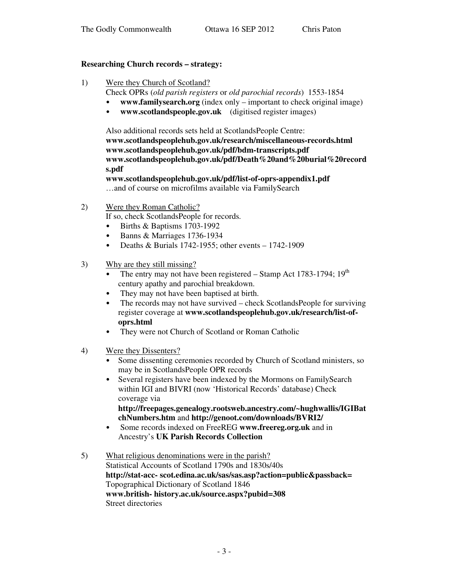#### **Researching Church records – strategy:**

- 1) Were they Church of Scotland?
	- Check OPRs (*old parish registers* or *old parochial records*) 1553-1854
	- **www.familysearch.org** (index only important to check original image)
	- **www.scotlandspeople.gov.uk** (digitised register images)

Also additional records sets held at ScotlandsPeople Centre: **www.scotlandspeoplehub.gov.uk/research/miscellaneous-records.html www.scotlandspeoplehub.gov.uk/pdf/bdm-transcripts.pdf www.scotlandspeoplehub.gov.uk/pdf/Death%20and%20burial%20record s.pdf**

**www.scotlandspeoplehub.gov.uk/pdf/list-of-oprs-appendix1.pdf** …and of course on microfilms available via FamilySearch

2) Were they Roman Catholic?

If so, check ScotlandsPeople for records.

- Births & Baptisms 1703-1992
- Banns & Marriages 1736-1934
- Deaths & Burials 1742-1955; other events  $-1742-1909$
- 3) Why are they still missing?
	- The entry may not have been registered  $-$  Stamp Act 1783-1794; 19<sup>th</sup> century apathy and parochial breakdown.
	- They may not have been baptised at birth.
	- The records may not have survived check ScotlandsPeople for surviving register coverage at **www.scotlandspeoplehub.gov.uk/research/list-ofoprs.html**
	- They were not Church of Scotland or Roman Catholic
- 4) Were they Dissenters?
	- Some dissenting ceremonies recorded by Church of Scotland ministers, so may be in ScotlandsPeople OPR records
	- Several registers have been indexed by the Mormons on FamilySearch within IGI and BIVRI (now 'Historical Records' database) Check coverage via

**http://freepages.genealogy.rootsweb.ancestry.com/~hughwallis/IGIBat chNumbers.htm** and **http://genoot.com/downloads/BVRI2/**

- Some records indexed on FreeREG **www.freereg.org.uk** and in Ancestry's **UK Parish Records Collection**
- 5) What religious denominations were in the parish? Statistical Accounts of Scotland 1790s and 1830s/40s **http://stat-acc- scot.edina.ac.uk/sas/sas.asp?action=public&passback=** Topographical Dictionary of Scotland 1846 **www.british- history.ac.uk/source.aspx?pubid=308** Street directories